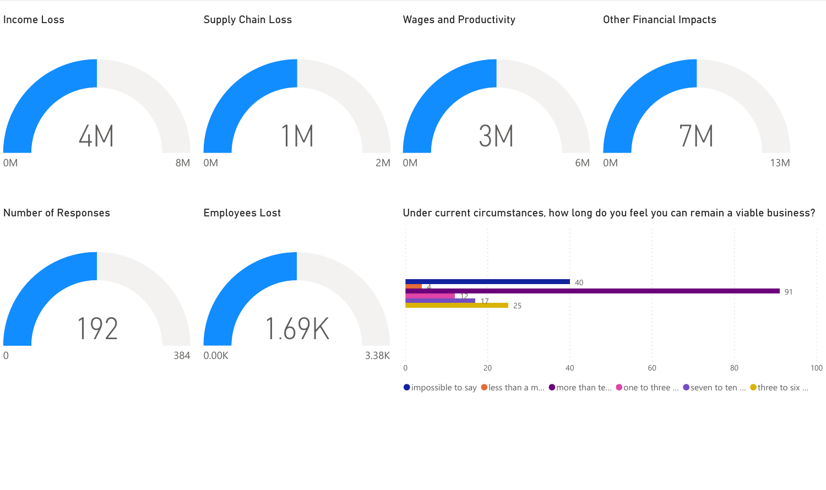

 $\bullet$  impossible to say  $\bullet$  less than a m...  $\bullet$  more than te...  $\bullet$  one to three ...  $\bullet$  seven to ten ...  $\bullet$  three to six ...